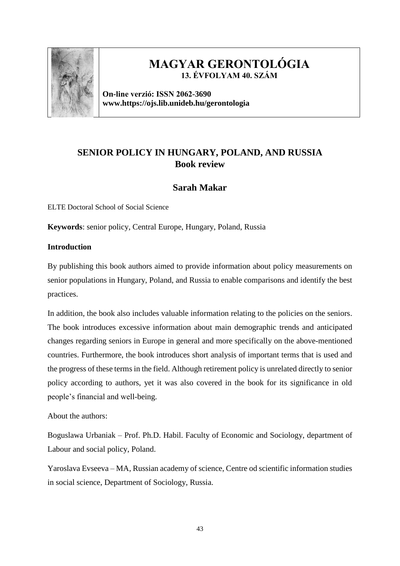

# **MAGYAR GERONTOLÓGIA 13. ÉVFOLYAM 40. SZÁM**

**On-line verzió: ISSN 2062-3690 www.https://ojs.lib.unideb.hu/gerontologia**

## **SENIOR POLICY IN HUNGARY, POLAND, AND RUSSIA Book review**

## **Sarah Makar**

ELTE Doctoral School of Social Science

**Keywords**: senior policy, Central Europe, Hungary, Poland, Russia

## **Introduction**

By publishing this book authors aimed to provide information about policy measurements on senior populations in Hungary, Poland, and Russia to enable comparisons and identify the best practices.

In addition, the book also includes valuable information relating to the policies on the seniors. The book introduces excessive information about main demographic trends and anticipated changes regarding seniors in Europe in general and more specifically on the above-mentioned countries. Furthermore, the book introduces short analysis of important terms that is used and the progress of these terms in the field. Although retirement policy is unrelated directly to senior policy according to authors, yet it was also covered in the book for its significance in old people's financial and well-being.

About the authors:

Boguslawa Urbaniak – Prof. Ph.D. Habil. Faculty of Economic and Sociology, department of Labour and social policy, Poland.

Yaroslava Evseeva – MA, Russian academy of science, Centre od scientific information studies in social science, Department of Sociology, Russia.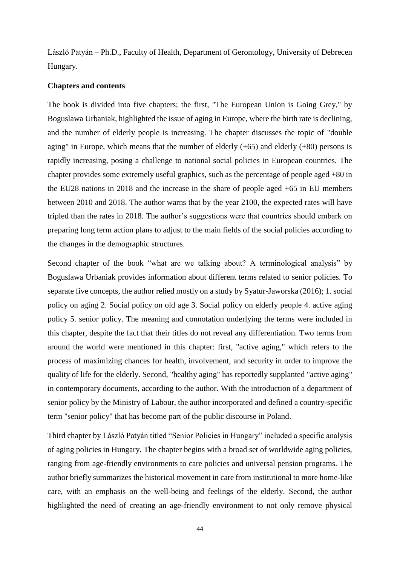László Patyán – Ph.D., Faculty of Health, Department of Gerontology, University of Debrecen Hungary.

#### **Chapters and contents**

The book is divided into five chapters; the first, "The European Union is Going Grey," by Boguslawa Urbaniak, highlighted the issue of aging in Europe, where the birth rate is declining, and the number of elderly people is increasing. The chapter discusses the topic of "double aging" in Europe, which means that the number of elderly  $(+65)$  and elderly  $(+80)$  persons is rapidly increasing, posing a challenge to national social policies in European countries. The chapter provides some extremely useful graphics, such as the percentage of people aged +80 in the EU28 nations in 2018 and the increase in the share of people aged +65 in EU members between 2010 and 2018. The author warns that by the year 2100, the expected rates will have tripled than the rates in 2018. The author's suggestions were that countries should embark on preparing long term action plans to adjust to the main fields of the social policies according to the changes in the demographic structures.

Second chapter of the book "what are we talking about? A terminological analysis" by Boguslawa Urbaniak provides information about different terms related to senior policies. To separate five concepts, the author relied mostly on a study by Syatur-Jaworska (2016); 1. social policy on aging 2. Social policy on old age 3. Social policy on elderly people 4. active aging policy 5. senior policy. The meaning and connotation underlying the terms were included in this chapter, despite the fact that their titles do not reveal any differentiation. Two terms from around the world were mentioned in this chapter: first, "active aging," which refers to the process of maximizing chances for health, involvement, and security in order to improve the quality of life for the elderly. Second, "healthy aging" has reportedly supplanted "active aging" in contemporary documents, according to the author. With the introduction of a department of senior policy by the Ministry of Labour, the author incorporated and defined a country-specific term "senior policy" that has become part of the public discourse in Poland.

Third chapter by László Patyán titled "Senior Policies in Hungary" included a specific analysis of aging policies in Hungary. The chapter begins with a broad set of worldwide aging policies, ranging from age-friendly environments to care policies and universal pension programs. The author briefly summarizes the historical movement in care from institutional to more home-like care, with an emphasis on the well-being and feelings of the elderly. Second, the author highlighted the need of creating an age-friendly environment to not only remove physical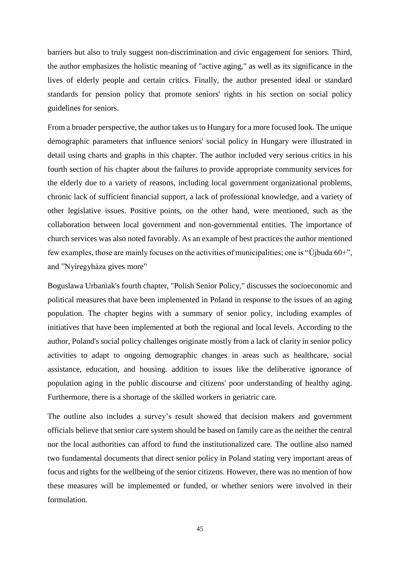barriers but also to truly suggest non-discrimination and civic engagement for seniors. Third, the author emphasizes the holistic meaning of "active aging," as well as its significance in the lives of elderly people and certain critics. Finally, the author presented ideal or standard standards for pension policy that promote seniors' rights in his section on social policy guidelines for seniors.

From a broader perspective, the author takes us to Hungary for a more focused look. The unique demographic parameters that influence seniors' social policy in Hungary were illustrated in detail using charts and graphs in this chapter. The author included very serious critics in his fourth section of his chapter about the failures to provide appropriate community services for the elderly due to a variety of reasons, including local government organizational problems, chronic lack of sufficient financial support, a lack of professional knowledge, and a variety of other legislative issues. Positive points, on the other hand, were mentioned, such as the collaboration between local government and non-governmental entities. The importance of church services was also noted favorably. As an example of best practices the author mentioned few examples, those are mainly focuses on the activities of municipalities; one is "Újbuda 60+", and "Nyíregyháza gives more"

Boguslawa Urbaniak's fourth chapter, "Polish Senior Policy," discusses the socioeconomic and political measures that have been implemented in Poland in response to the issues of an aging population. The chapter begins with a summary of senior policy, including examples of initiatives that have been implemented at both the regional and local levels. According to the author, Poland's social policy challenges originate mostly from a lack of clarity in senior policy activities to adapt to ongoing demographic changes in areas such as healthcare, social assistance, education, and housing. addition to issues like the deliberative ignorance of population aging in the public discourse and citizens' poor understanding of healthy aging. Furthermore, there is a shortage of the skilled workers in geriatric care.

The outline also includes a survey's result showed that decision makers and government officials believe that senior care system should be based on family care as the neither the central nor the local authorities can afford to fund the institutionalized care. The outline also named two fundamental documents that direct senior policy in Poland stating very important areas of focus and rights for the wellbeing of the senior citizens. However, there was no mention of how these measures will be implemented or funded, or whether seniors were involved in their formulation.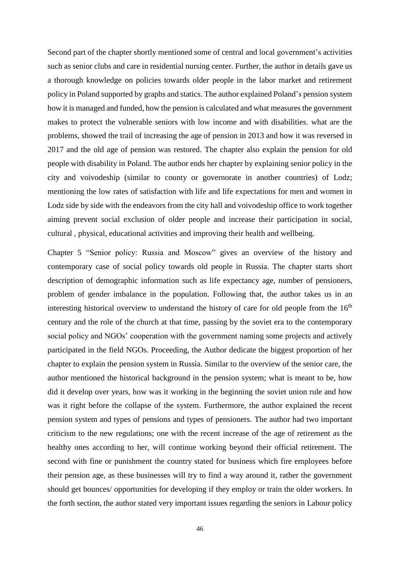Second part of the chapter shortly mentioned some of central and local government's activities such as senior clubs and care in residential nursing center. Further, the author in details gave us a thorough knowledge on policies towards older people in the labor market and retirement policy in Poland supported by graphs and statics. The author explained Poland's pension system how it is managed and funded, how the pension is calculated and what measures the government makes to protect the vulnerable seniors with low income and with disabilities. what are the problems, showed the trail of increasing the age of pension in 2013 and how it was reversed in 2017 and the old age of pension was restored. The chapter also explain the pension for old people with disability in Poland. The author ends her chapter by explaining senior policy in the city and voivodeship (similar to county or governorate in another countries) of Lodz; mentioning the low rates of satisfaction with life and life expectations for men and women in Lodz side by side with the endeavors from the city hall and voivodeship office to work together aiming prevent social exclusion of older people and increase their participation in social, cultural , physical, educational activities and improving their health and wellbeing.

Chapter 5 "Senior policy: Russia and Moscow" gives an overview of the history and contemporary case of social policy towards old people in Russia. The chapter starts short description of demographic information such as life expectancy age, number of pensioners, problem of gender imbalance in the population. Following that, the author takes us in an interesting historical overview to understand the history of care for old people from the  $16<sup>th</sup>$ century and the role of the church at that time, passing by the soviet era to the contemporary social policy and NGOs' cooperation with the government naming some projects and actively participated in the field NGOs. Proceeding, the Author dedicate the biggest proportion of her chapter to explain the pension system in Russia. Similar to the overview of the senior care, the author mentioned the historical background in the pension system; what is meant to be, how did it develop over years, how was it working in the beginning the soviet union rule and how was it right before the collapse of the system. Furthermore, the author explained the recent pension system and types of pensions and types of pensioners. The author had two important criticism to the new regulations; one with the recent increase of the age of retirement as the healthy ones according to her, will continue working beyond their official retirement. The second with fine or punishment the country stated for business which fire employees before their pension age, as these businesses will try to find a way around it, rather the government should get bounces/ opportunities for developing if they employ or train the older workers. In the forth section, the author stated very important issues regarding the seniors in Labour policy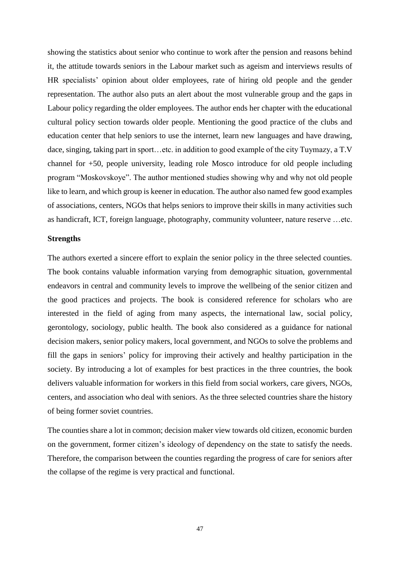showing the statistics about senior who continue to work after the pension and reasons behind it, the attitude towards seniors in the Labour market such as ageism and interviews results of HR specialists' opinion about older employees, rate of hiring old people and the gender representation. The author also puts an alert about the most vulnerable group and the gaps in Labour policy regarding the older employees. The author ends her chapter with the educational cultural policy section towards older people. Mentioning the good practice of the clubs and education center that help seniors to use the internet, learn new languages and have drawing, dace, singing, taking part in sport…etc. in addition to good example of the city Tuymazy, a T.V channel for +50, people university, leading role Mosco introduce for old people including program "Moskovskoye". The author mentioned studies showing why and why not old people like to learn, and which group is keener in education. The author also named few good examples of associations, centers, NGOs that helps seniors to improve their skills in many activities such as handicraft, ICT, foreign language, photography, community volunteer, nature reserve …etc.

#### **Strengths**

The authors exerted a sincere effort to explain the senior policy in the three selected counties. The book contains valuable information varying from demographic situation, governmental endeavors in central and community levels to improve the wellbeing of the senior citizen and the good practices and projects. The book is considered reference for scholars who are interested in the field of aging from many aspects, the international law, social policy, gerontology, sociology, public health. The book also considered as a guidance for national decision makers, senior policy makers, local government, and NGOs to solve the problems and fill the gaps in seniors' policy for improving their actively and healthy participation in the society. By introducing a lot of examples for best practices in the three countries, the book delivers valuable information for workers in this field from social workers, care givers, NGOs, centers, and association who deal with seniors. As the three selected countries share the history of being former soviet countries.

The counties share a lot in common; decision maker view towards old citizen, economic burden on the government, former citizen's ideology of dependency on the state to satisfy the needs. Therefore, the comparison between the counties regarding the progress of care for seniors after the collapse of the regime is very practical and functional.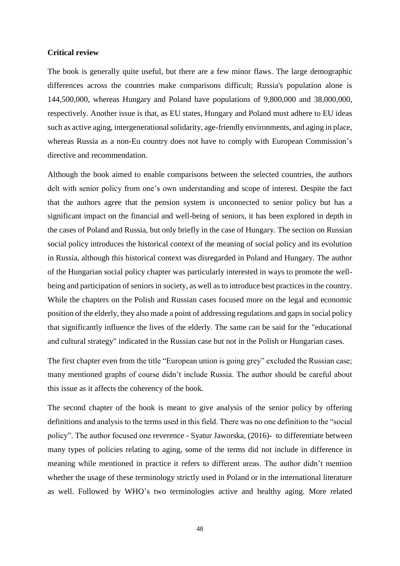#### **Critical review**

The book is generally quite useful, but there are a few minor flaws. The large demographic differences across the countries make comparisons difficult; Russia's population alone is 144,500,000, whereas Hungary and Poland have populations of 9,800,000 and 38,000,000, respectively. Another issue is that, as EU states, Hungary and Poland must adhere to EU ideas such as active aging, intergenerational solidarity, age-friendly environments, and aging in place, whereas Russia as a non-Eu country does not have to comply with European Commission's directive and recommendation.

Although the book aimed to enable comparisons between the selected countries, the authors delt with senior policy from one's own understanding and scope of interest. Despite the fact that the authors agree that the pension system is unconnected to senior policy but has a significant impact on the financial and well-being of seniors, it has been explored in depth in the cases of Poland and Russia, but only briefly in the case of Hungary. The section on Russian social policy introduces the historical context of the meaning of social policy and its evolution in Russia, although this historical context was disregarded in Poland and Hungary. The author of the Hungarian social policy chapter was particularly interested in ways to promote the wellbeing and participation of seniors in society, as well as to introduce best practices in the country. While the chapters on the Polish and Russian cases focused more on the legal and economic position of the elderly, they also made a point of addressing regulations and gaps in social policy that significantly influence the lives of the elderly. The same can be said for the "educational and cultural strategy" indicated in the Russian case but not in the Polish or Hungarian cases.

The first chapter even from the title "European union is going grey" excluded the Russian case; many mentioned graphs of course didn't include Russia. The author should be careful about this issue as it affects the coherency of the book.

The second chapter of the book is meant to give analysis of the senior policy by offering definitions and analysis to the terms used in this field. There was no one definition to the "social policy". The author focused one reverence - Syatur Jaworska, (2016)- to differentiate between many types of policies relating to aging, some of the terms did not include in difference in meaning while mentioned in practice it refers to different areas. The author didn't mention whether the usage of these terminology strictly used in Poland or in the international literature as well. Followed by WHO's two terminologies active and healthy aging. More related